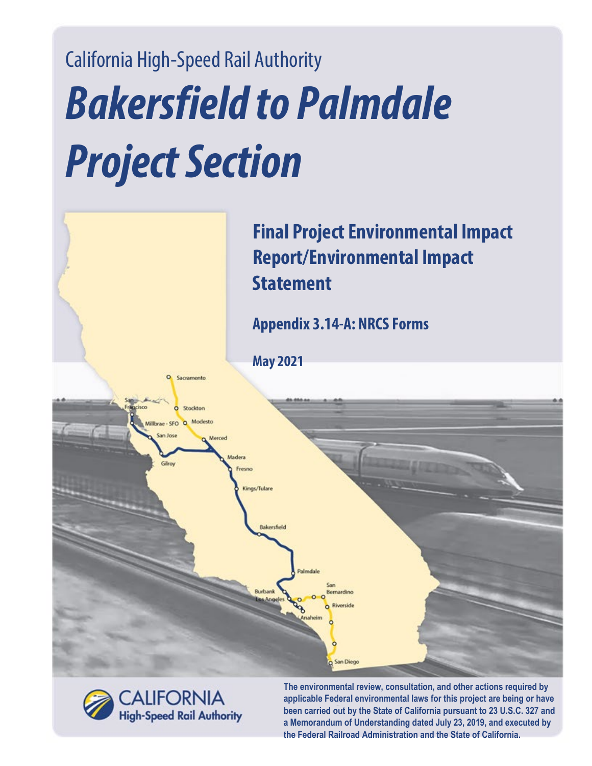# California High-Speed Rail Authority *Bakersfield to Palmdale Project Section*





**The environmental review, consultation, and other actions required by applicable Federal environmental laws for this project are being or have been carried out by the State of California pursuant to 23 U.S.C. 327 and a Memorandum of Understanding dated July 23, 2019, and executed by the Federal Railroad Administration and the State of California.**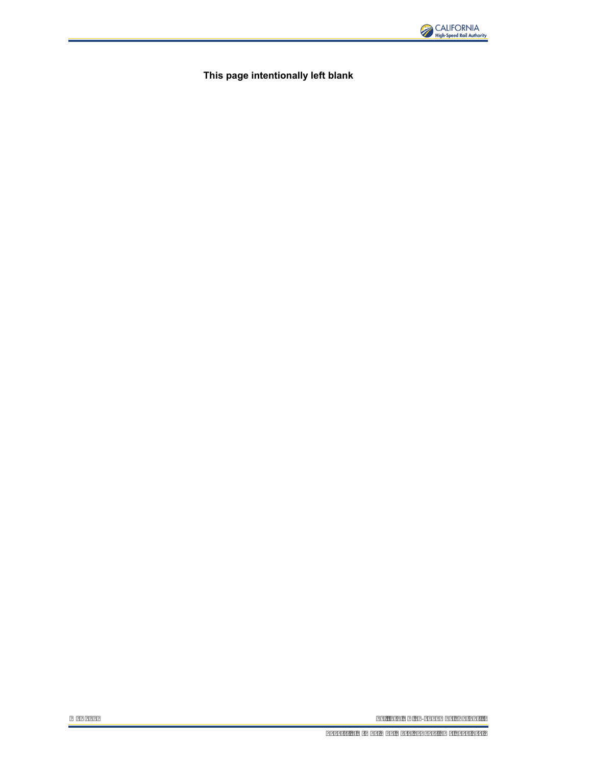

**This page intentionally left blank** 

May 2021 California High‐Speed Rail Authority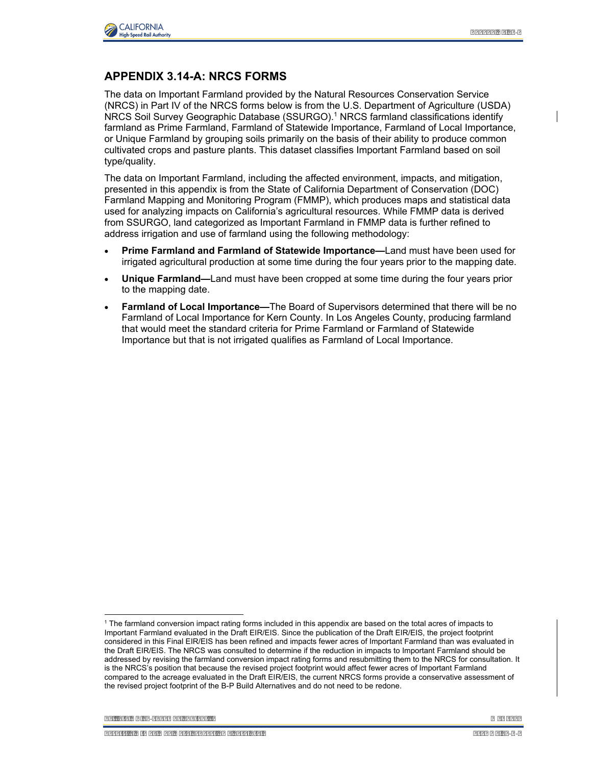

# **APPENDIX 3.14-A: NRCS FORMS**

The data on Important Farmland provided by the Natural Resources Conservation Service (NRCS) in Part IV of the NRCS forms below is from the U.S. Department of Agriculture (USDA) NRCS Soil Survey Geographic Database (SSURGO).<sup>1</sup> NRCS farmland classifications identify farmland as Prime Farmland, Farmland of Statewide Importance, Farmland of Local Importance, or Unique Farmland by grouping soils primarily on the basis of their ability to produce common cultivated crops and pasture plants. This dataset classifies Important Farmland based on soil type/quality.

The data on Important Farmland, including the affected environment, impacts, and mitigation, presented in this appendix is from the State of California Department of Conservation (DOC) Farmland Mapping and Monitoring Program (FMMP), which produces maps and statistical data used for analyzing impacts on California's agricultural resources. While FMMP data is derived from SSURGO, land categorized as Important Farmland in FMMP data is further refined to address irrigation and use of farmland using the following methodology:

- **Prime Farmland and Farmland of Statewide Importance—**Land must have been used for irrigated agricultural production at some time during the four years prior to the mapping date.
- **Unique Farmland—**Land must have been cropped at some time during the four years prior to the mapping date.
- **Farmland of Local Importance—**The Board of Supervisors determined that there will be no Farmland of Local Importance for Kern County. In Los Angeles County, producing farmland that would meet the standard criteria for Prime Farmland or Farmland of Statewide Importance but that is not irrigated qualifies as Farmland of Local Importance.

California High‐Speed Rail Authority May 2021

<sup>1</sup> The farmland conversion impact rating forms included in this appendix are based on the total acres of impacts to Important Farmland evaluated in the Draft EIR/EIS. Since the publication of the Draft EIR/EIS, the project footprint considered in this Final EIR/EIS has been refined and impacts fewer acres of Important Farmland than was evaluated in the Draft EIR/EIS. The NRCS was consulted to determine if the reduction in impacts to Important Farmland should be addressed by revising the farmland conversion impact rating forms and resubmitting them to the NRCS for consultation. It is the NRCS's position that because the revised project footprint would affect fewer acres of Important Farmland compared to the acreage evaluated in the Draft EIR/EIS, the current NRCS forms provide a conservative assessment of the revised project footprint of the B-P Build Alternatives and do not need to be redone.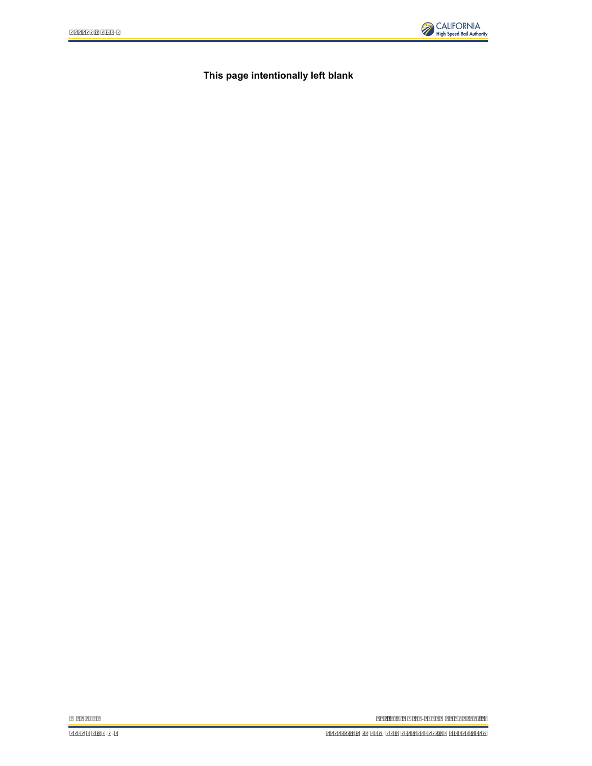

**This page intentionally left blank** 

May 2021 California High‐Speed Rail Authority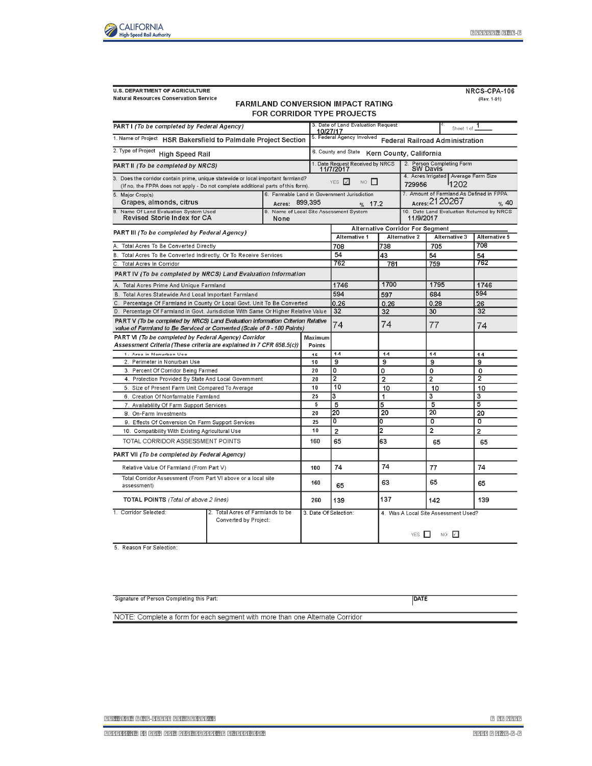

| <b>U.S. DEPARTMENT OF AGRICULTURE</b><br><b>Natural Resources Conservation Service</b>                                                                                 |  |      |                          | <b>FARMLAND CONVERSION IMPACT RATING</b><br><b>FOR CORRIDOR TYPE PROJECTS</b> |                                                            |                |                                                                    | NRCS-CPA-106<br>(Rev. 1-91) |  |  |
|------------------------------------------------------------------------------------------------------------------------------------------------------------------------|--|------|--------------------------|-------------------------------------------------------------------------------|------------------------------------------------------------|----------------|--------------------------------------------------------------------|-----------------------------|--|--|
| PART I (To be completed by Federal Agency)                                                                                                                             |  |      |                          | 3. Date of Land Evaluation Request                                            |                                                            |                | Sheet 1 of .                                                       |                             |  |  |
| 1. Name of Project HSR Bakersfield to Palmdale Project Section                                                                                                         |  |      |                          | 10/27/17<br>5. Federal Agency Involved<br>Federal Railroad Administration     |                                                            |                |                                                                    |                             |  |  |
| 2. Type of Project<br><b>High Speed Rail</b>                                                                                                                           |  |      |                          | 6. County and State Kern County, California                                   |                                                            |                |                                                                    |                             |  |  |
| PART II (To be completed by NRCS)                                                                                                                                      |  |      |                          | 1. Date Request Received by NRCS<br>11/7/2017                                 |                                                            |                | 2. Person Completing Form<br>SW Davis                              |                             |  |  |
| 3. Does the corridor contain prime, unique statewide or local important farmland?<br>(If no, the FPPA does not apply - Do not complete additional parts of this form). |  |      |                          | $YES$ $\nabla$<br>$N$ $\circ$ $\Box$                                          |                                                            |                | 4. Acres Irrigated   Average Farm Size<br>1202<br>729956           |                             |  |  |
| 5. Major Crop(s)<br>Grapes, almonds, citrus<br>Acres: 899,395                                                                                                          |  |      |                          | 6. Farmable Land in Government Jurisdiction<br>% $17.2$                       |                                                            |                | 7. Amount of Farmland As Defined in FPPA<br>Acres: 2120267<br>% 40 |                             |  |  |
| 8. Name Of Land Evaluation System Used<br>Revised Storie Index for CA                                                                                                  |  | None |                          | 9. Name of Local Site Assessment System                                       |                                                            | 11/9/2017      | 10. Date Land Evaluation Returned by NRCS                          |                             |  |  |
| PART III (To be completed by Federal Agency)                                                                                                                           |  |      |                          |                                                                               |                                                            |                | Alternative Corridor For Segment                                   |                             |  |  |
|                                                                                                                                                                        |  |      |                          | Alternative 1                                                                 | <b>Alternative 2</b>                                       |                | Alternative 3                                                      | <b>Alternative 5</b>        |  |  |
| A. Total Acres To Be Converted Directly                                                                                                                                |  |      |                          | 708                                                                           | 738                                                        |                | 705                                                                | 708                         |  |  |
| B. Total Acres To Be Converted Indirectly, Or To Receive Services                                                                                                      |  |      |                          | 54<br>762                                                                     | 43                                                         |                | 54                                                                 | 54<br>762                   |  |  |
| C. Total Acres In Corridor                                                                                                                                             |  |      |                          |                                                                               | 781                                                        |                | 759                                                                |                             |  |  |
| PART IV (To be completed by NRCS) Land Evaluation Information                                                                                                          |  |      |                          |                                                                               |                                                            |                | 1795                                                               |                             |  |  |
| A. Total Acres Prime And Unique Farmland                                                                                                                               |  |      |                          | 1746                                                                          | 1700                                                       |                |                                                                    | 1746<br>594                 |  |  |
| B. Total Acres Statewide And Local Important Farmland                                                                                                                  |  |      |                          | 594                                                                           | 597                                                        |                | 684                                                                |                             |  |  |
| Percentage Of Farmland in County Or Local Govt. Unit To Be Converted<br>D. Percentage Of Farmland in Govt. Jurisdiction With Same Or Higher Relative Value             |  |      |                          | 0.26<br>32                                                                    | 0.26<br>32                                                 |                | 0.28<br>30                                                         | 26<br>32                    |  |  |
| PART V (To be completed by NRCS) Land Evaluation Information Criterion Relative<br>value of Farmland to Be Serviced or Converted (Scale of 0 - 100 Points)             |  |      |                          | 74                                                                            | 74                                                         |                | 77                                                                 | 74                          |  |  |
| PART VI (To be completed by Federal Agency) Corridor<br>Assessment Criteria (These criteria are explained in 7 CFR 658.5(c))                                           |  |      | <b>Maximum</b><br>Points |                                                                               |                                                            |                |                                                                    |                             |  |  |
| 1. Area in Nenurban Uce                                                                                                                                                |  |      | 15                       | 14                                                                            | 14                                                         |                | 14                                                                 | 14                          |  |  |
| 2. Perimeter in Nonurban Use                                                                                                                                           |  |      | 10                       | 9                                                                             | 9                                                          |                | 9                                                                  | 9                           |  |  |
| 3. Percent Of Corridor Being Farmed                                                                                                                                    |  |      | 20                       | $\mathbf 0$                                                                   | 0                                                          |                | $\mathbf 0$                                                        | 0                           |  |  |
| 4. Protection Provided By State And Local Government                                                                                                                   |  | 20   | $\overline{2}$           | $\overline{2}$                                                                |                                                            | $\overline{2}$ | 2                                                                  |                             |  |  |
| 5. Size of Present Farm Unit Compared To Average                                                                                                                       |  |      | 10                       | 10                                                                            | 10                                                         |                | 10                                                                 | 10                          |  |  |
| 6. Creation Of Nonfarmable Farmland                                                                                                                                    |  |      | 25<br>5                  | 3<br>5                                                                        | 1                                                          |                | з<br>$\overline{5}$                                                | 3<br>5                      |  |  |
| 7. Availabiliity Of Farm Support Services                                                                                                                              |  |      | 20                       | 20                                                                            | 5<br>20                                                    |                | 20                                                                 | 20                          |  |  |
| 8. On-Farm Investments                                                                                                                                                 |  |      | 25                       | o                                                                             | o                                                          |                | $\overline{0}$                                                     | 0                           |  |  |
| 9. Effects Of Conversion On Farm Support Services                                                                                                                      |  |      | 10                       | $\overline{2}$                                                                | $\overline{2}$                                             |                | $\overline{2}$                                                     | $\overline{2}$              |  |  |
| 10. Compatibility With Existing Agricultural Use<br>TOTAL CORRIDOR ASSESSMENT POINTS                                                                                   |  |      | 160                      | 65                                                                            | 63                                                         |                | 65                                                                 | 65                          |  |  |
| PART VII (To be completed by Federal Agency)                                                                                                                           |  |      |                          |                                                                               |                                                            |                |                                                                    |                             |  |  |
| Relative Value Of Farmland (From Part V)                                                                                                                               |  |      | 100                      | 74                                                                            | 74                                                         |                | 77                                                                 | 74                          |  |  |
| Total Corridor Assessment (From Part VI above or a local site<br>assessment)                                                                                           |  |      | 160                      | 65                                                                            | 63                                                         |                | 65                                                                 | 65                          |  |  |
| <b>TOTAL POINTS</b> (Total of above 2 lines)                                                                                                                           |  | 260  | 139                      | 137                                                                           |                                                            | 142            | 139                                                                |                             |  |  |
| 1. Corridor Selected:<br>2. Total Acres of Farmlands to be<br>Converted by Project:                                                                                    |  |      | 3. Date Of Selection:    |                                                                               | 4. Was A Local Site Assessment Used?<br>NO M<br>YES $\Box$ |                |                                                                    |                             |  |  |

5. Reason For Selection:

| Signature of Person Completing this Part:                                    | DATE |
|------------------------------------------------------------------------------|------|
| NOTE: Complete a form for each segment with more than one Alternate Corridor |      |

California High-Speed Rail Authority May 2021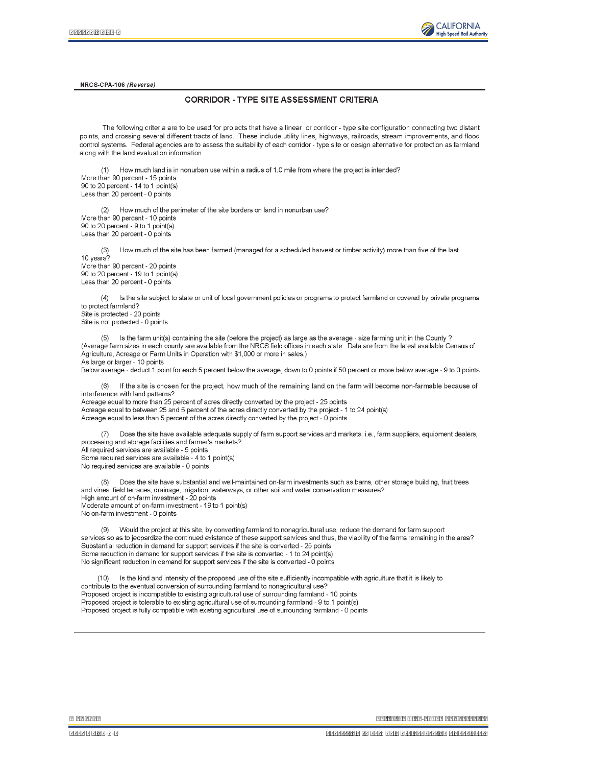

#### **NRCS-CPA-106** *(Reverse)*

### **CORRIDOR - TYPE SITE ASSESSMENT CRITERIA**

The following criteria are to be used for projects that have a linear or corridor - type site configuration connecting two distant points, and crossing several different tracts of land. These include utility lines, highways, railroads, stream improvements, and flood control systems. Federal agencies are to assess the suitability of each corridor - type site or design alternative for protection as farmland along with the land evaluation information.

How much land is in nonurban use within a radius of 1.0 mile from where the project is intended? More than 90 percent - 15 points 90 to 20 percent - 14 to 1 point(s) Less than 20 percent - 0 points

(2) How much of the perimeter of the site borders on land in nonurban use? More than 90 percent - 10 points 90 to 20 percent - 9 to 1 point(s) Less than 20 percent - 0 points

(3) How much of the site has been farmed (managed for a scheduled harvest or timber activity) more than five of the last 10 years? More than 90 percent - 20 points

90 to 20 percent - 19 to 1 point(s) Less than 20 percent - 0 points

(4) Is the site subject to state or unit of local government policies or programs to protect farmland or covered by private programs to protect farmland? Site is protected - 20 points Site is not protected - 0 points

Is the farm unit(s) containing the site (before the project) as large as the average - size farming unit in the County? (Average farm sizes in each county are available from the NRCS field offices in each state. Data are from the latest available Census of Agriculture, Acreage or Farm Units in Operation with \$1,000 or more in sales.) As large or larger - 10 points

Below average - deduct 1 point for each 5 percent below the average, down to O points if 50 percent or more below average - 9 to O points

(6) If the site is chosen for the project, how much of the remaining land on the farm will become non-farmable because of interference with land patterns?

Acreage equal to more than 25 percent of acres directly converted by the project - 25 points Acreage equal to between 25 and 5 percent of the acres directly converted by the project - 1 to 24 point(s)

Acreage equal to less than 5 percent of the acres directly converted by the project - 0 points

Does the site have available adequate supply of farm support services and markets, i.e., farm suppliers, equipment dealers, processing and storage facilities and farmer's markets?

All required services are available - 5 points

Some required services are available - 4 to 1 point(s)

No required services are available - 0 points

(8) Does the site have substantial and well-maintained on-farm investments such as barns, other storage building, fruit trees and vines, field terraces, drainage, irrigation, waterways, or other soil and water conservation measures? High amount of on-farm investment - 20 points Moderate amount of on-farm investment -19 to 1 point(s) No on-farm investment - 0 points

(9) Would the project at this site, by converting farmland to nonagricultural use, reduce the demand for farm support services so as to jeopardize the continued existence of these support services and thus, the viability of the farms remaining in the area? Substantial reduction in demand for support services if the site is converted - 25 points Some reduction in demand for support services if the site is converted - 1 to 24 point(s) No significant reduction in demand for support services if the site is converted - 0 points

(10) Is the kind and intensity of the proposed use of the site sufficientjy incompatible with agriculture that it is likely to contribute to the eventual conversion of surrounding farmland to nonagricultural use? Proposed project is incompatible to existing agricultural use of surrounding farmland - 10 points Proposed project is tolerable to existing agricultural use of surrounding farmland - 9 to 1 point(s) Proposed project is fully compatible with existing agricultural use of surrounding farmland - 0 points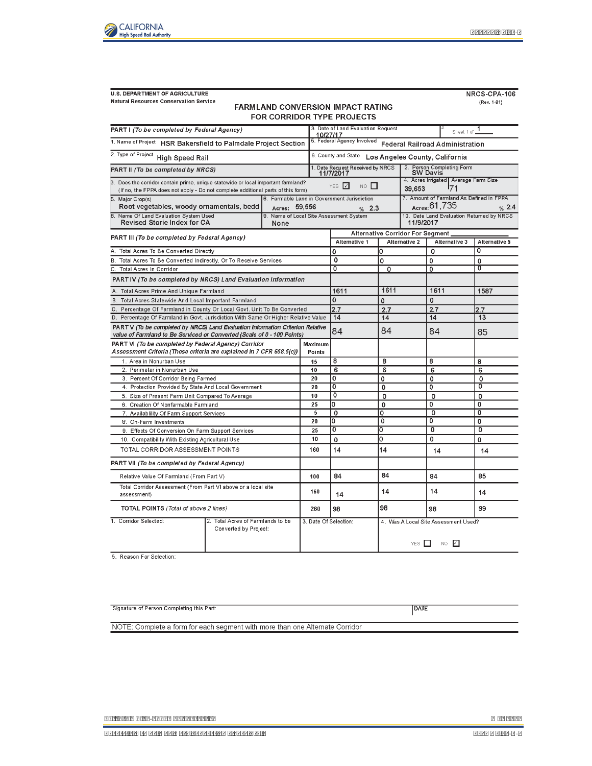

| <b>U.S. DEPARTMENT OF AGRICULTURE</b><br><b>Natural Resources Conservation Service</b>                                                                                 | <b>FARMLAND CONVERSION IMPACT RATING</b><br><b>FOR CORRIDOR TYPE PROJECTS</b> |                       |                                                                      |                                                              |                                                         |                                                           | NRCS-CPA-106<br>(Rev. 1-91) |  |  |
|------------------------------------------------------------------------------------------------------------------------------------------------------------------------|-------------------------------------------------------------------------------|-----------------------|----------------------------------------------------------------------|--------------------------------------------------------------|---------------------------------------------------------|-----------------------------------------------------------|-----------------------------|--|--|
| PART I (To be completed by Federal Agency)                                                                                                                             |                                                                               |                       | 3. Date of Land Evaluation Request<br>Sheet 1 of $1$<br>10/27/17     |                                                              |                                                         |                                                           |                             |  |  |
| 1. Name of Project HSR Bakersfield to Palmdale Project Section                                                                                                         |                                                                               |                       | 5. Federal Agency Involved<br><b>Federal Railroad Administration</b> |                                                              |                                                         |                                                           |                             |  |  |
| 2. Type of Project High Speed Rail                                                                                                                                     |                                                                               |                       | 6. County and State<br>Los Angeles County, California                |                                                              |                                                         |                                                           |                             |  |  |
| PART II (To be completed by NRCS)                                                                                                                                      |                                                                               |                       | 1. Date Request Received by NRCS<br>11/7/2017                        |                                                              | 2. Person Completing Form<br>SW Davis                   |                                                           |                             |  |  |
| 3. Does the corridor contain prime, unique statewide or local important farmland?<br>(If no, the FPPA does not apply - Do not complete additional parts of this form). |                                                                               |                       | YES $\boxed{\checkmark}$<br>N⊙ ∏                                     |                                                              | 4. Acres Irrigated   Average Farm Size<br>39.653<br>171 |                                                           |                             |  |  |
| 5. Major Crop(s)<br>Root vegetables, woody ornamentals, bedd<br>Acres: 59,556                                                                                          |                                                                               |                       | 6. Farmable Land in Government Jurisdiction<br>2.3<br>$\frac{0}{6}$  |                                                              |                                                         | 7. Amount of Farmland As Defined in FPPA<br>Acres: 61,735 |                             |  |  |
| 8. Name Of Land Evaluation System Used<br><b>Revised Storie Index for CA</b>                                                                                           | 9. Name of Local Site Assessment System<br>None                               |                       |                                                                      | 11/9/2017                                                    |                                                         | 10. Date Land Evaluation Returned by NRCS                 |                             |  |  |
| PART III (To be completed by Federal Agency)                                                                                                                           |                                                                               |                       |                                                                      | <b>Alternative Corridor For Segment</b>                      |                                                         |                                                           |                             |  |  |
|                                                                                                                                                                        |                                                                               |                       | Alternative 1                                                        | <b>Alternative 2</b>                                         |                                                         | Alternative 3                                             | <b>Alternative 5</b>        |  |  |
| A. Total Acres To Be Converted Directly                                                                                                                                |                                                                               |                       | O                                                                    | I∩                                                           |                                                         | $\Omega$                                                  | $\overline{0}$              |  |  |
| B. Total Acres To Be Converted Indirectly, Or To Receive Services                                                                                                      |                                                                               |                       | 0                                                                    | 0                                                            |                                                         | $\Omega$                                                  | $\Omega$                    |  |  |
| C. Total Acres In Corridor                                                                                                                                             |                                                                               |                       | 0                                                                    | 0                                                            |                                                         | 0                                                         | τ                           |  |  |
| PART IV (To be completed by NRCS) Land Evaluation Information                                                                                                          |                                                                               |                       |                                                                      |                                                              |                                                         |                                                           |                             |  |  |
| A. Total Acres Prime And Unique Farmland                                                                                                                               |                                                                               |                       | 1611                                                                 | 1611                                                         |                                                         | 1611                                                      | 1587                        |  |  |
| B. Total Acres Statewide And Local Important Farmland                                                                                                                  |                                                                               |                       | 0                                                                    | 0                                                            |                                                         | 0                                                         |                             |  |  |
| Percentage Of Farmland in County Or Local Govt. Unit To Be Converted                                                                                                   |                                                                               |                       | 2.7                                                                  | 2.7                                                          |                                                         | 2.7                                                       | 2.7                         |  |  |
| D. Percentage Of Farmland in Govt. Jurisdiction With Same Or Higher Relative Value                                                                                     |                                                                               |                       | 14                                                                   | 14                                                           |                                                         | 14                                                        | 13                          |  |  |
| PART V (To be completed by NRCS) Land Evaluation Information Criterion Relative<br>value of Farmland to Be Serviced or Converted (Scale of 0 - 100 Points)             |                                                                               |                       | 84                                                                   | 84                                                           |                                                         | 84                                                        | 85                          |  |  |
| PART VI (To be completed by Federal Agency) Corridor<br>Assessment Criteria (These criteria are explained in 7 CFR 658.5(c))                                           |                                                                               |                       |                                                                      |                                                              |                                                         |                                                           |                             |  |  |
| 1. Area in Nonurban Use                                                                                                                                                |                                                                               |                       | 8                                                                    | 8                                                            |                                                         | 8                                                         | 8                           |  |  |
| 2. Perimeter in Nonurban Use                                                                                                                                           |                                                                               |                       | $\overline{6}$                                                       | $\overline{6}$                                               |                                                         | $\overline{6}$                                            | 6                           |  |  |
| 3. Percent Of Corridor Being Farmed                                                                                                                                    |                                                                               | 20                    | 0                                                                    | 0                                                            |                                                         | 0                                                         | $\Omega$                    |  |  |
| 4. Protection Provided By State And Local Government                                                                                                                   |                                                                               | 20                    | ō                                                                    | $\Omega$                                                     |                                                         | 0                                                         | ō                           |  |  |
| 5. Size of Present Farm Unit Compared To Average                                                                                                                       |                                                                               | 10                    | 0                                                                    | $\mathbf 0$                                                  |                                                         | $\mathbf 0$                                               | 0                           |  |  |
| 6. Creation Of Nonfarmable Farmland                                                                                                                                    |                                                                               | 25                    | o                                                                    | 0                                                            |                                                         | 0                                                         | 0                           |  |  |
| 7. Availablility Of Farm Support Services                                                                                                                              |                                                                               | 5                     | 0<br>o                                                               | 0<br>0                                                       |                                                         | $\Omega$<br>0                                             | $\overline{0}$              |  |  |
| 8. On-Farm Investments                                                                                                                                                 |                                                                               | 20<br>25              | $\overline{\mathbf{o}}$                                              | ١o                                                           |                                                         | $\overline{0}$                                            | $\Omega$<br>0               |  |  |
| 9. Effects Of Conversion On Farm Support Services                                                                                                                      |                                                                               |                       |                                                                      | ō                                                            |                                                         | 0                                                         | $\Omega$                    |  |  |
| 10. Compatibility With Existing Agricultural Use<br>TOTAL CORRIDOR ASSESSMENT POINTS                                                                                   |                                                                               |                       | 0<br>14                                                              | 14                                                           |                                                         | 14                                                        | 14                          |  |  |
| PART VII (To be completed by Federal Agency)                                                                                                                           |                                                                               |                       |                                                                      |                                                              |                                                         |                                                           |                             |  |  |
| Relative Value Of Farmland (From Part V)                                                                                                                               |                                                                               |                       | 84                                                                   | 84                                                           |                                                         | 84                                                        | 85                          |  |  |
| Total Corridor Assessment (From Part VI above or a local site<br>assessment)                                                                                           |                                                                               |                       | 14                                                                   | 14                                                           |                                                         | 14                                                        | 14                          |  |  |
| <b>TOTAL POINTS</b> (Total of above 2 lines)                                                                                                                           |                                                                               |                       | 98                                                                   | 98                                                           |                                                         | 98                                                        | 99                          |  |  |
| 1. Corridor Selected:<br>2. Total Acres of Farmlands to be<br>Converted by Project:                                                                                    |                                                                               | 3. Date Of Selection: |                                                                      | 4. Was A Local Site Assessment Used?<br>YES $\Box$ NO $\Box$ |                                                         |                                                           |                             |  |  |

5. Reason For Selection:

Signature of Person Completing this Part:  $\boxed{\text{DATE}}$ 

NOTE: Complete a form for each segment with more than one Alternate Corridor

California High-Speed Rail Authority May 2021